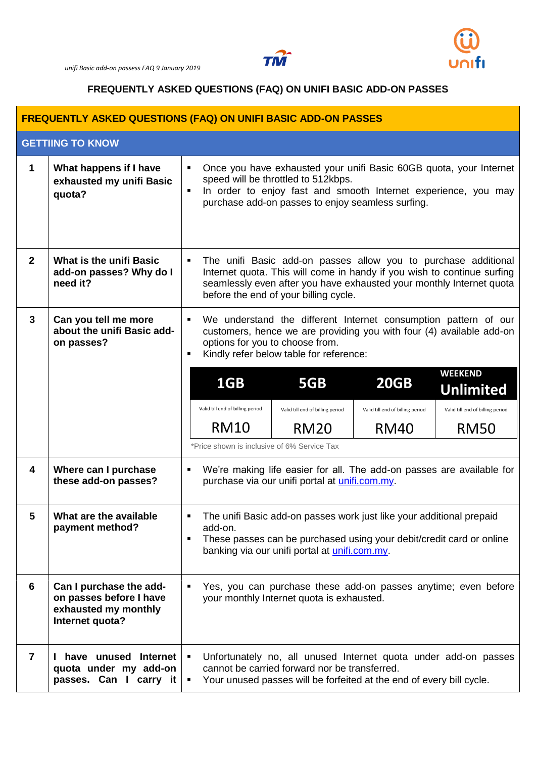



## **FREQUENTLY ASKED QUESTIONS (FAQ) ON UNIFI BASIC ADD-ON PASSES**

| <b>FREQUENTLY ASKED QUESTIONS (FAQ) ON UNIFI BASIC ADD-ON PASSES</b> |                                                                                               |                                                                                                                                                                                                                                                            |                                  |                                             |                                  |                                    |  |  |  |
|----------------------------------------------------------------------|-----------------------------------------------------------------------------------------------|------------------------------------------------------------------------------------------------------------------------------------------------------------------------------------------------------------------------------------------------------------|----------------------------------|---------------------------------------------|----------------------------------|------------------------------------|--|--|--|
| <b>GETTIING TO KNOW</b>                                              |                                                                                               |                                                                                                                                                                                                                                                            |                                  |                                             |                                  |                                    |  |  |  |
| 1                                                                    | What happens if I have<br>exhausted my unifi Basic<br>quota?                                  | Once you have exhausted your unifi Basic 60GB quota, your Internet<br>speed will be throttled to 512kbps.<br>In order to enjoy fast and smooth Internet experience, you may<br>$\blacksquare$<br>purchase add-on passes to enjoy seamless surfing.         |                                  |                                             |                                  |                                    |  |  |  |
| $\overline{2}$                                                       | <b>What is the unifi Basic</b><br>add-on passes? Why do I<br>need it?                         | The unifi Basic add-on passes allow you to purchase additional<br>Internet quota. This will come in handy if you wish to continue surfing<br>seamlessly even after you have exhausted your monthly Internet quota<br>before the end of your billing cycle. |                                  |                                             |                                  |                                    |  |  |  |
| 3                                                                    | Can you tell me more<br>about the unifi Basic add-<br>on passes?                              | We understand the different Internet consumption pattern of our<br>customers, hence we are providing you with four (4) available add-on<br>options for you to choose from.<br>Kindly refer below table for reference:<br>$\blacksquare$                    |                                  |                                             |                                  |                                    |  |  |  |
|                                                                      |                                                                                               |                                                                                                                                                                                                                                                            | 1GB                              | 5GB                                         | <b>20GB</b>                      | <b>WEEKEND</b><br><b>Unlimited</b> |  |  |  |
|                                                                      |                                                                                               |                                                                                                                                                                                                                                                            | Valid till end of billing period | Valid till end of billing period            | Valid till end of billing period | Valid till end of billing period   |  |  |  |
|                                                                      |                                                                                               |                                                                                                                                                                                                                                                            | <b>RM10</b>                      | <b>RM20</b>                                 | <b>RM40</b>                      | <b>RM50</b>                        |  |  |  |
|                                                                      |                                                                                               |                                                                                                                                                                                                                                                            |                                  | *Price shown is inclusive of 6% Service Tax |                                  |                                    |  |  |  |
| 4                                                                    | Where can I purchase<br>these add-on passes?                                                  | We're making life easier for all. The add-on passes are available for<br>٠<br>purchase via our unifi portal at unifi.com.my.                                                                                                                               |                                  |                                             |                                  |                                    |  |  |  |
|                                                                      | What are the available<br>payment method?                                                     | The unifi Basic add-on passes work just like your additional prepaid<br>add-on.<br>These passes can be purchased using your debit/credit card or online<br>П<br>banking via our unifi portal at unifi.com.my.                                              |                                  |                                             |                                  |                                    |  |  |  |
| 6                                                                    | Can I purchase the add-<br>on passes before I have<br>exhausted my monthly<br>Internet quota? | Yes, you can purchase these add-on passes anytime; even before<br>your monthly Internet quota is exhausted.                                                                                                                                                |                                  |                                             |                                  |                                    |  |  |  |
| $\overline{7}$                                                       | have unused Internet<br>quota under my add-on<br>passes. Can I carry it                       | Unfortunately no, all unused Internet quota under add-on passes<br>cannot be carried forward nor be transferred.<br>Your unused passes will be forfeited at the end of every bill cycle.                                                                   |                                  |                                             |                                  |                                    |  |  |  |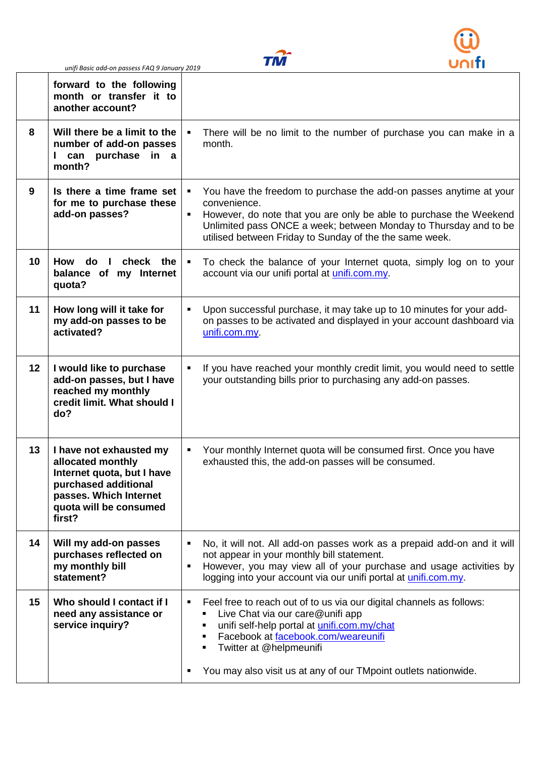*unifi Basic add-on passess FAQ 9 January 2019* 





| forward to the following<br>month or transfer it to<br>another account?                                                                                                |                                                                                                                                                                                                                                                                                              |  |
|------------------------------------------------------------------------------------------------------------------------------------------------------------------------|----------------------------------------------------------------------------------------------------------------------------------------------------------------------------------------------------------------------------------------------------------------------------------------------|--|
| 8<br>Will there be a limit to the<br>number of add-on passes<br>can purchase in a<br>$\mathbf{L}$<br>month?                                                            | There will be no limit to the number of purchase you can make in a<br>month.                                                                                                                                                                                                                 |  |
| 9<br>Is there a time frame set<br>for me to purchase these<br>add-on passes?                                                                                           | You have the freedom to purchase the add-on passes anytime at your<br>convenience.<br>However, do note that you are only be able to purchase the Weekend<br>٠<br>Unlimited pass ONCE a week; between Monday to Thursday and to be<br>utilised between Friday to Sunday of the the same week. |  |
| 10<br>check the<br>How<br>do<br>- 1<br>balance of my Internet<br>quota?                                                                                                | To check the balance of your Internet quota, simply log on to your<br>account via our unifi portal at unifi.com.my.                                                                                                                                                                          |  |
| 11<br>How long will it take for<br>my add-on passes to be<br>activated?                                                                                                | Upon successful purchase, it may take up to 10 minutes for your add-<br>on passes to be activated and displayed in your account dashboard via<br>unifi.com.my                                                                                                                                |  |
| 12<br>I would like to purchase<br>add-on passes, but I have<br>reached my monthly<br>credit limit. What should I<br>do?                                                | If you have reached your monthly credit limit, you would need to settle<br>your outstanding bills prior to purchasing any add-on passes.                                                                                                                                                     |  |
| 13<br>I have not exhausted my<br>allocated monthly<br>Internet quota, but I have<br>purchased additional<br>passes. Which Internet<br>quota will be consumed<br>first? | Your monthly Internet quota will be consumed first. Once you have<br>exhausted this, the add-on passes will be consumed.                                                                                                                                                                     |  |
| Will my add-on passes<br>14<br>purchases reflected on<br>my monthly bill<br>statement?                                                                                 | No, it will not. All add-on passes work as a prepaid add-on and it will<br>not appear in your monthly bill statement.<br>However, you may view all of your purchase and usage activities by<br>$\blacksquare$<br>logging into your account via our unifi portal at <i>unifi.com.my</i> .     |  |
| 15<br>Who should I contact if I<br>need any assistance or<br>service inquiry?                                                                                          | Feel free to reach out of to us via our digital channels as follows:<br>٠<br>Live Chat via our care@unifi app<br>unifi self-help portal at unifi.com.my/chat<br>Facebook at facebook.com/weareunifi<br>Twitter at @helpmeunifi                                                               |  |
|                                                                                                                                                                        | You may also visit us at any of our TMpoint outlets nationwide.                                                                                                                                                                                                                              |  |